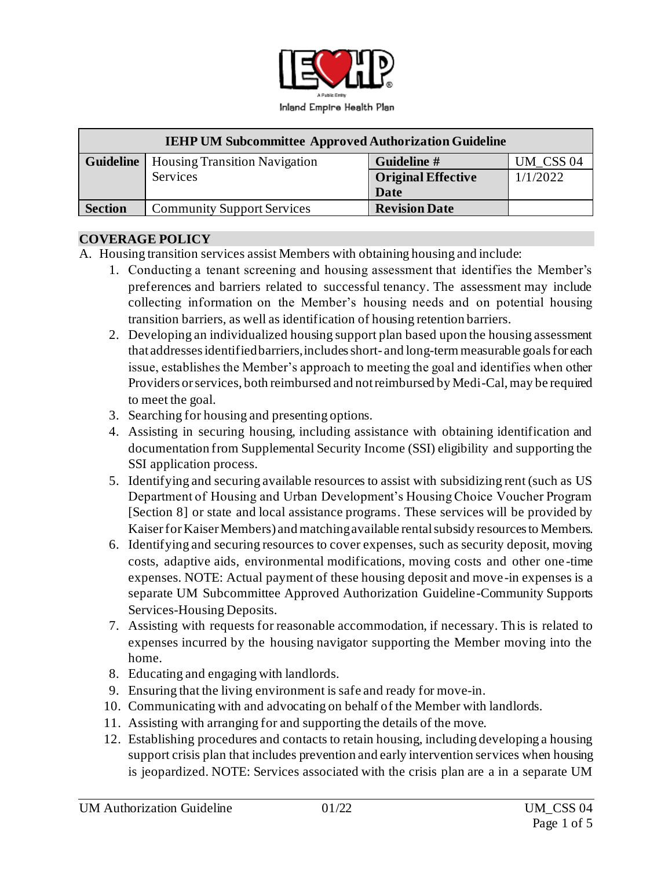

| <b>IEHP UM Subcommittee Approved Authorization Guideline</b> |                                      |                           |           |
|--------------------------------------------------------------|--------------------------------------|---------------------------|-----------|
| <b>Guideline</b>                                             | <b>Housing Transition Navigation</b> | Guideline #               | UM CSS 04 |
|                                                              | Services                             | <b>Original Effective</b> | 1/1/2022  |
|                                                              |                                      | Date                      |           |
| <b>Section</b>                                               | <b>Community Support Services</b>    | <b>Revision Date</b>      |           |

#### **COVERAGE POLICY**

- A. Housing transition services assist Members with obtaining housing and include:
	- 1. Conducting a tenant screening and housing assessment that identifies the Member's preferences and barriers related to successful tenancy. The assessment may include collecting information on the Member's housing needs and on potential housing transition barriers, as well as identification of housing retention barriers.
	- 2. Developing an individualized housing support plan based upon the housing assessment that addresses identified barriers, includes short- and long-term measurable goals for each issue, establishes the Member's approach to meeting the goal and identifies when other Providers or services, both reimbursed and not reimbursed by Medi-Cal, may be required to meet the goal.
	- 3. Searching for housing and presenting options.
	- 4. Assisting in securing housing, including assistance with obtaining identification and documentation from Supplemental Security Income (SSI) eligibility and supporting the SSI application process.
	- 5. Identifying and securing available resources to assist with subsidizing rent (such as US Department of Housing and Urban Development's Housing Choice Voucher Program [Section 8] or state and local assistance programs. These services will be provided by Kaiser for Kaiser Members) and matching available rental subsidy resources to Members.
	- 6. Identifying and securing resources to cover expenses, such as security deposit, moving costs, adaptive aids, environmental modifications, moving costs and other one -time expenses. NOTE: Actual payment of these housing deposit and move-in expenses is a separate UM Subcommittee Approved Authorization Guideline-Community Supports Services-Housing Deposits.
	- 7. Assisting with requests for reasonable accommodation, if necessary. This is related to expenses incurred by the housing navigator supporting the Member moving into the home.
	- 8. Educating and engaging with landlords.
	- 9. Ensuring that the living environment is safe and ready for move-in.
	- 10. Communicating with and advocating on behalf of the Member with landlords.
	- 11. Assisting with arranging for and supporting the details of the move.
	- 12. Establishing procedures and contacts to retain housing, including developing a housing support crisis plan that includes prevention and early intervention services when housing is jeopardized. NOTE: Services associated with the crisis plan are a in a separate UM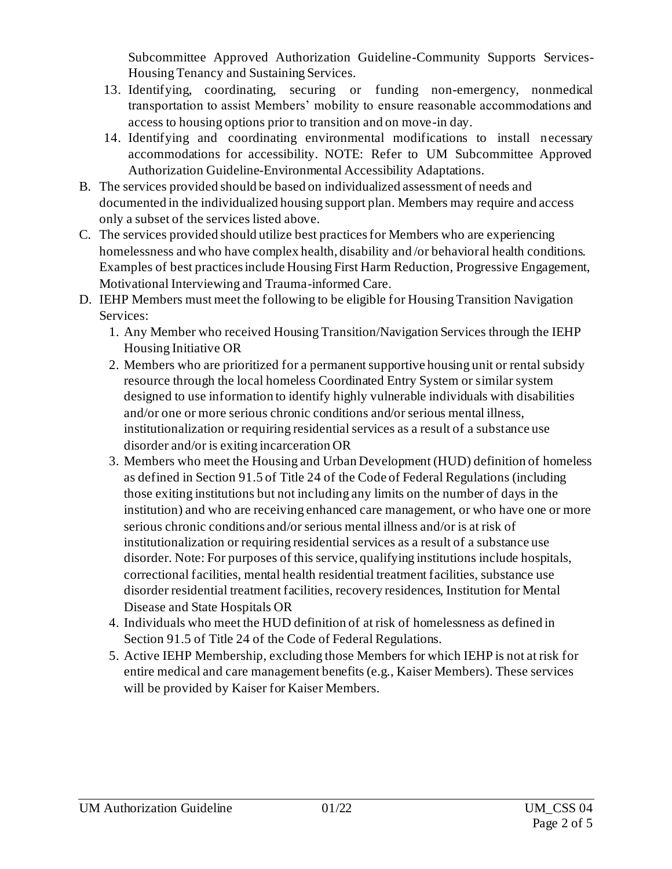Subcommittee Approved Authorization Guideline-Community Supports Services-Housing Tenancy and Sustaining Services.

- 13. Identifying, coordinating, securing or funding non-emergency, nonmedical transportation to assist Members' mobility to ensure reasonable accommodations and access to housing options prior to transition and on move-in day.
- 14. Identifying and coordinating environmental modifications to install necessary accommodations for accessibility. NOTE: Refer to UM Subcommittee Approved Authorization Guideline-Environmental Accessibility Adaptations.
- B. The services provided should be based on individualized assessment of needs and documented in the individualized housing support plan. Members may require and access only a subset of the services listed above.
- C. The services provided should utilize best practices for Members who are experiencing homelessness and who have complex health, disability and /or behavioral health conditions. Examples of best practices include Housing First Harm Reduction, Progressive Engagement, Motivational Interviewing and Trauma-informed Care.
- D. IEHP Members must meet the following to be eligible for Housing Transition Navigation Services:
	- 1. Any Member who received Housing Transition/Navigation Services through the IEHP Housing Initiative OR
	- 2. Members who are prioritized for a permanent supportive housing unit or rental subsidy resource through the local homeless Coordinated Entry System or similar system designed to use information to identify highly vulnerable individuals with disabilities and/or one or more serious chronic conditions and/or serious mental illness, institutionalization or requiring residential services as a result of a substance use disorder and/or is exiting incarceration OR
	- 3. Members who meet the Housing and Urban Development (HUD) definition of homeless as defined in Section 91.5 of Title 24 of the Code of Federal Regulations (including those exiting institutions but not including any limits on the number of days in the institution) and who are receiving enhanced care management, or who have one or more serious chronic conditions and/or serious mental illness and/or is at risk of institutionalization or requiring residential services as a result of a substance use disorder. Note: For purposes of this service, qualifying institutions include hospitals, correctional facilities, mental health residential treatment facilities, substance use disorder residential treatment facilities, recovery residences, Institution for Mental Disease and State Hospitals OR
	- 4. Individuals who meet the HUD definition of at risk of homelessness as defined in Section 91.5 of Title 24 of the Code of Federal Regulations.
	- 5. Active IEHP Membership, excluding those Members for which IEHP is not at risk for entire medical and care management benefits (e.g., Kaiser Members). These services will be provided by Kaiser for Kaiser Members.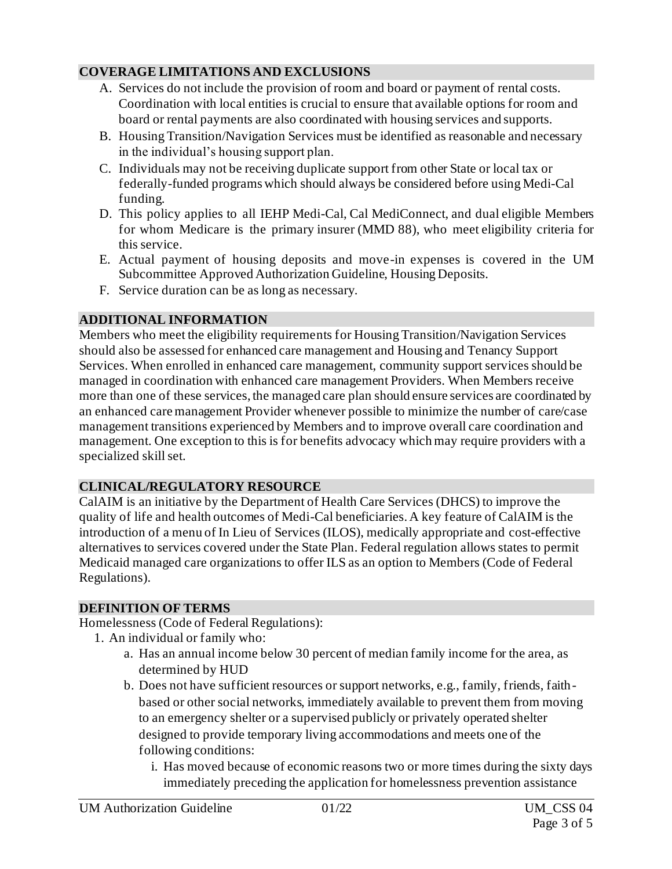### **COVERAGE LIMITATIONS AND EXCLUSIONS**

- A. Services do not include the provision of room and board or payment of rental costs. Coordination with local entities is crucial to ensure that available options for room and board or rental payments are also coordinated with housing services and supports.
- B. Housing Transition/Navigation Services must be identified as reasonable and necessary in the individual's housing support plan.
- C. Individuals may not be receiving duplicate support from other State or local tax or federally-funded programs which should always be considered before using Medi-Cal funding.
- D. This policy applies to all IEHP Medi-Cal, Cal MediConnect, and dual eligible Members for whom Medicare is the primary insurer (MMD 88), who meet eligibility criteria for this service.
- E. Actual payment of housing deposits and move-in expenses is covered in the UM Subcommittee Approved Authorization Guideline, Housing Deposits.
- F. Service duration can be as long as necessary.

# **ADDITIONAL INFORMATION**

Members who meet the eligibility requirements for Housing Transition/Navigation Services should also be assessed for enhanced care management and Housing and Tenancy Support Services. When enrolled in enhanced care management, community support services should be managed in coordination with enhanced care management Providers. When Members receive more than one of these services, the managed care plan should ensure services are coordinated by an enhanced care management Provider whenever possible to minimize the number of care/case management transitions experienced by Members and to improve overall care coordination and management. One exception to this is for benefits advocacy which may require providers with a specialized skill set.

## **CLINICAL/REGULATORY RESOURCE**

CalAIM is an initiative by the Department of Health Care Services (DHCS) to improve the quality of life and health outcomes of Medi-Cal beneficiaries. A key feature of CalAIM is the introduction of a menu of In Lieu of Services (ILOS), medically appropriate and cost-effective alternatives to services covered under the State Plan. Federal regulation allows states to permit Medicaid managed care organizations to offer ILS as an option to Members (Code of Federal Regulations).

### **DEFINITION OF TERMS**

Homelessness (Code of Federal Regulations):

- 1. An individual or family who:
	- a. Has an annual income below 30 percent of median family income for the area, as determined by HUD
	- b. Does not have sufficient resources or support networks, e.g., family, friends, faithbased or other social networks, immediately available to prevent them from moving to an emergency shelter or a supervised publicly or privately operated shelter designed to provide temporary living accommodations and meets one of the following conditions:
		- i. Has moved because of economic reasons two or more times during the sixty days immediately preceding the application for homelessness prevention assistance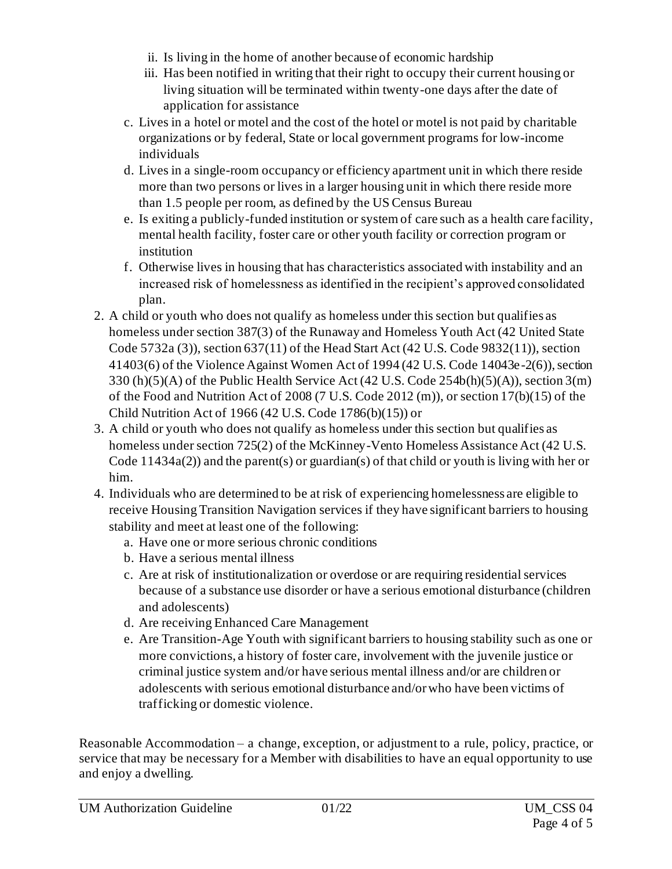- ii. Is living in the home of another because of economic hardship
- iii. Has been notified in writing that their right to occupy their current housing or living situation will be terminated within twenty-one days after the date of application for assistance
- c. Lives in a hotel or motel and the cost of the hotel or motel is not paid by charitable organizations or by federal, State or local government programs for low-income individuals
- d. Lives in a single-room occupancy or efficiency apartment unit in which there reside more than two persons or lives in a larger housing unit in which there reside more than 1.5 people per room, as defined by the US Census Bureau
- e. Is exiting a publicly-funded institution or system of care such as a health care facility, mental health facility, foster care or other youth facility or correction program or institution
- f. Otherwise lives in housing that has characteristics associated with instability and an increased risk of homelessness as identified in the recipient's approved consolidated plan.
- 2. A child or youth who does not qualify as homeless under this section but qualifies as homeless under section 387(3) of the Runaway and Homeless Youth Act (42 United State Code 5732a (3)), section 637(11) of the Head Start Act (42 U.S. Code 9832(11)), section 41403(6) of the Violence Against Women Act of 1994 (42 U.S. Code 14043e-2(6)), section 330 (h)(5)(A) of the Public Health Service Act (42 U.S. Code 254b(h)(5)(A)), section 3(m) of the Food and Nutrition Act of 2008 (7 U.S. Code 2012 (m)), or section 17(b)(15) of the Child Nutrition Act of 1966 (42 U.S. Code 1786(b)(15)) or
- 3. A child or youth who does not qualify as homeless under this section but qualifies as homeless under section 725(2) of the McKinney-Vento Homeless Assistance Act (42 U.S. Code 11434a(2)) and the parent(s) or guardian(s) of that child or youth is living with her or him.
- 4. Individuals who are determined to be at risk of experiencing homelessness are eligible to receive Housing Transition Navigation services if they have significant barriers to housing stability and meet at least one of the following:
	- a. Have one or more serious chronic conditions
	- b. Have a serious mental illness
	- c. Are at risk of institutionalization or overdose or are requiring residential services because of a substance use disorder or have a serious emotional disturbance (children and adolescents)
	- d. Are receiving Enhanced Care Management
	- e. Are Transition-Age Youth with significant barriers to housing stability such as one or more convictions, a history of foster care, involvement with the juvenile justice or criminal justice system and/or have serious mental illness and/or are children or adolescents with serious emotional disturbance and/or who have been victims of trafficking or domestic violence.

Reasonable Accommodation – a change, exception, or adjustment to a rule, policy, practice, or service that may be necessary for a Member with disabilities to have an equal opportunity to use and enjoy a dwelling.